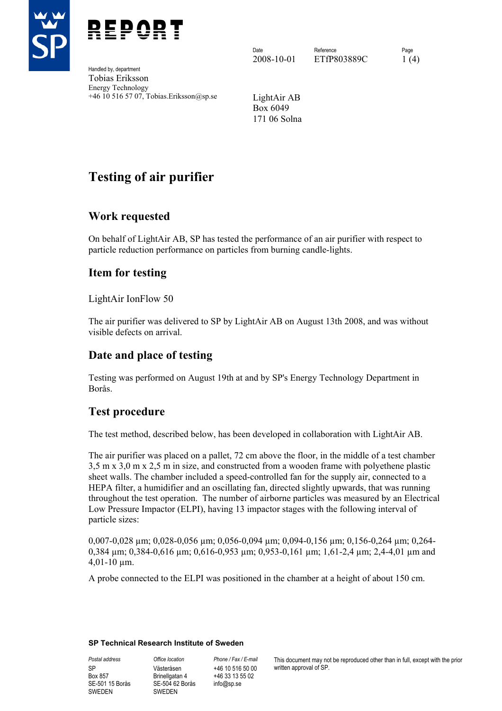



Handled by, department Tobias Eriksson Energy Technology +46 10 516 57 07, Tobias.Eriksson@sp.se LightAir AB

Date **Reference** Reference **Page** 2008-10-01 ETfP803889C 1(4)

Box 6049 171 06 Solna

# **Testing of air purifier**

# **Work requested**

On behalf of LightAir AB, SP has tested the performance of an air purifier with respect to particle reduction performance on particles from burning candle-lights.

# **Item for testing**

LightAir IonFlow 50

The air purifier was delivered to SP by LightAir AB on August 13th 2008, and was without visible defects on arrival.

# **Date and place of testing**

Testing was performed on August 19th at and by SP's Energy Technology Department in Borås.

## **Test procedure**

The test method, described below, has been developed in collaboration with LightAir AB.

The air purifier was placed on a pallet, 72 cm above the floor, in the middle of a test chamber 3,5 m x 3,0 m x 2,5 m in size, and constructed from a wooden frame with polyethene plastic sheet walls. The chamber included a speed-controlled fan for the supply air, connected to a HEPA filter, a humidifier and an oscillating fan, directed slightly upwards, that was running throughout the test operation. The number of airborne particles was measured by an Electrical Low Pressure Impactor (ELPI), having 13 impactor stages with the following interval of particle sizes:

0,007-0,028 µm; 0,028-0,056 µm; 0,056-0,094 µm; 0,094-0,156 µm; 0,156-0,264 µm; 0,264- 0,384 µm; 0,384-0,616 µm; 0,616-0,953 µm; 0,953-0,161 µm; 1,61-2,4 µm; 2,4-4,01 µm and 4,01-10 µm.

A probe connected to the ELPI was positioned in the chamber at a height of about 150 cm.

#### **SP Technical Research Institute of Sweden**

SP Box 857 SE-501 15 Borås SWEDEN

*Postal address Office location Phone / Fax / E-mail*  Västeråsen Brinellgatan 4 SE-504 62 Borås SWEDEN

+46 10 516 50 00 +46 33 13 55 02 info@sp.se

This document may not be reproduced other than in full, except with the prior written approval of SP.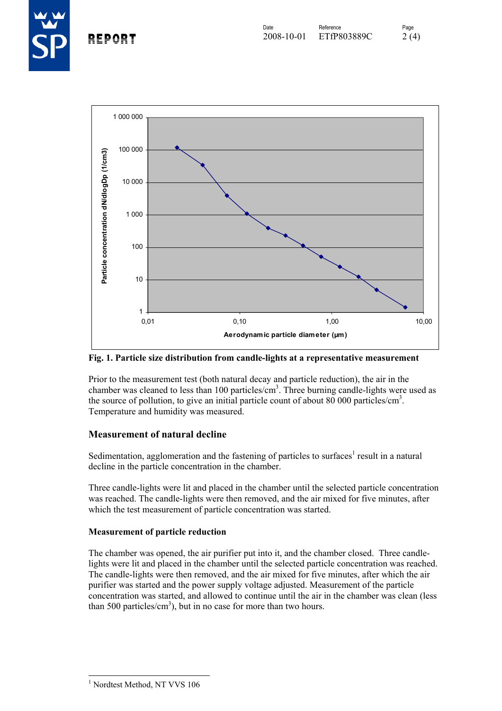



**Fig. 1. Particle size distribution from candle-lights at a representative measurement** 

Prior to the measurement test (both natural decay and particle reduction), the air in the chamber was cleaned to less than 100 particles/cm<sup>3</sup>. Three burning candle-lights were used as the source of pollution, to give an initial particle count of about  $80\,000$  particles/cm<sup>3</sup>. Temperature and humidity was measured.

#### **Measurement of natural decline**

Sedimentation, agglomeration and the fastening of particles to surfaces<sup>1</sup> result in a natural decline in the particle concentration in the chamber.

Three candle-lights were lit and placed in the chamber until the selected particle concentration was reached. The candle-lights were then removed, and the air mixed for five minutes, after which the test measurement of particle concentration was started.

#### **Measurement of particle reduction**

The chamber was opened, the air purifier put into it, and the chamber closed. Three candlelights were lit and placed in the chamber until the selected particle concentration was reached. The candle-lights were then removed, and the air mixed for five minutes, after which the air purifier was started and the power supply voltage adjusted. Measurement of the particle concentration was started, and allowed to continue until the air in the chamber was clean (less than 500 particles/ $\text{cm}^3$ ), but in no case for more than two hours.

 1 Nordtest Method, NT VVS 106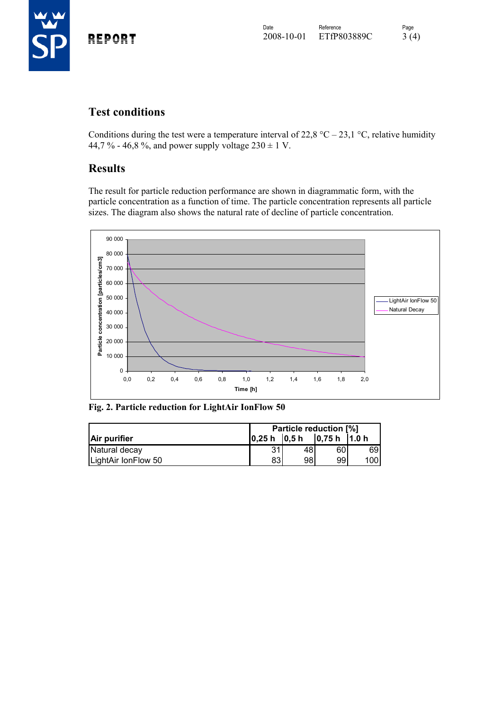

## **Test conditions**

Conditions during the test were a temperature interval of 22,8 °C – 23,1 °C, relative humidity 44,7 % - 46,8 %, and power supply voltage  $230 \pm 1$  V.

### **Results**

The result for particle reduction performance are shown in diagrammatic form, with the particle concentration as a function of time. The particle concentration represents all particle sizes. The diagram also shows the natural rate of decline of particle concentration.



**Fig. 2. Particle reduction for LightAir IonFlow 50** 

|                     | <b>Particle reduction [%]</b> |               |                |       |
|---------------------|-------------------------------|---------------|----------------|-------|
| Air purifier        | l0.25 h                       | $\vert$ 0.5 h | $\vert$ 0.75 h | 11.0h |
| Natural decay       | 31                            | 48            | 60             | 69    |
| LightAir IonFlow 50 | 83                            | 98            | 99             | 100l  |